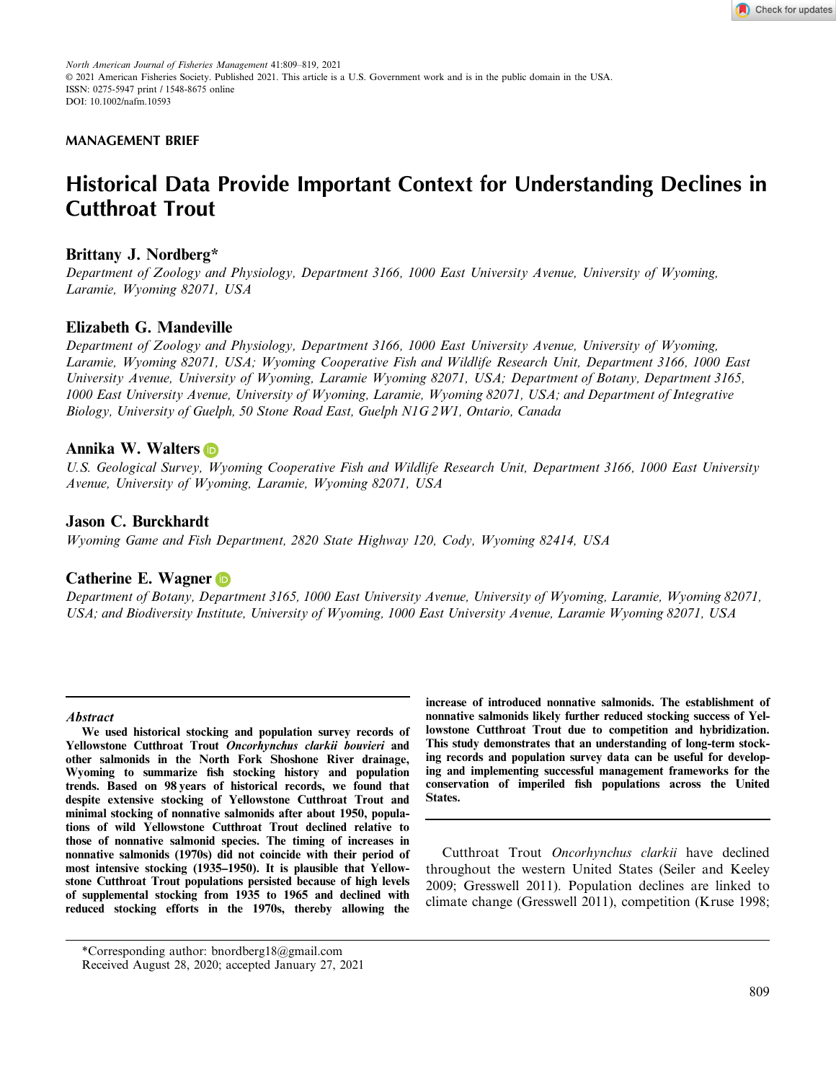

*North American Journal of Fisheries Management* 41:809–819, 2021 © 2021 American Fisheries Society. Published 2021. This article is a U.S. Government work and is in the public domain in the USA. ISSN: 0275-5947 print / 1548-8675 online DOI: 10.1002/nafm.10593

# **MANAGEMENT BRIEF**

# **Historical Data Provide Important Context for Understanding Declines in Cutthroat Trout**

# **Brittany J. Nordberg\***

*Department of Zoology and Physiology, Department 3166, 1000 East University Avenue, University of Wyoming, Laramie, Wyoming 82071, USA*

# **Elizabeth G. Mandeville**

*Department of Zoology and Physiology, Department 3166, 1000 East University Avenue, University of Wyoming, Laramie, Wyoming 82071, USA; Wyoming Cooperative Fish and Wildlife Research Unit, Department 3166, 1000 East University Avenue, University of Wyoming, Laramie Wyoming 82071, USA; Department of Botany, Department 3165, 1000 East University Avenue, University of Wyoming, Laramie, Wyoming 82071, USA; and Department of Integrative Biology, University of Guelph, 50 Stone Road East, Guelph N1G 2W1, Ontario, Canada*

# **Annika W. Walter[s](https://orcid.org/0000-0002-8638-6682)**

*U.S. Geological Survey, Wyoming Cooperative Fish and Wildlife Research Unit, Department 3166, 1000 East University Avenue, University of Wyoming, Laramie, Wyoming 82071, USA*

# **Jason C. Burckhardt**

*Wyoming Game and Fish Department, 2820 State Highway 120, Cody, Wyoming 82414, USA*

# **Catherine E. Wagne[r](https://orcid.org/0000-0001-8585-6120)**

*Department of Botany, Department 3165, 1000 East University Avenue, University of Wyoming, Laramie, Wyoming 82071, USA; and Biodiversity Institute, University of Wyoming, 1000 East University Avenue, Laramie Wyoming 82071, USA*

#### **Abstract**

**We used historical stocking and population survey records of Yellowstone Cutthroat Trout Oncorhynchus clarkii bouvieri and other salmonids in the North Fork Shoshone River drainage, Wyoming to summarize fish stocking history and population trends. Based on 98 years of historical records, we found that despite extensive stocking of Yellowstone Cutthroat Trout and minimal stocking of nonnative salmonids after about 1950, populations of wild Yellowstone Cutthroat Trout declined relative to those of nonnative salmonid species. The timing of increases in nonnative salmonids (1970s) did not coincide with their period of most intensive stocking (1935–1950). It is plausible that Yellowstone Cutthroat Trout populations persisted because of high levels of supplemental stocking from 1935 to 1965 and declined with reduced stocking efforts in the 1970s, thereby allowing the**

**increase of introduced nonnative salmonids. The establishment of nonnative salmonids likely further reduced stocking success of Yellowstone Cutthroat Trout due to competition and hybridization. This study demonstrates that an understanding of long-term stocking records and population survey data can be useful for developing and implementing successful management frameworks for the conservation of imperiled fish populations across the United States.**

Cutthroat Trout *Oncorhynchus clarkii* have declined throughout the western United States (Seiler and Keeley 2009; Gresswell 2011). Population declines are linked to climate change (Gresswell 2011), competition (Kruse 1998;

<sup>\*</sup>Corresponding author: [bnordberg18@gmail.com](mailto:) Received August 28, 2020; accepted January 27, 2021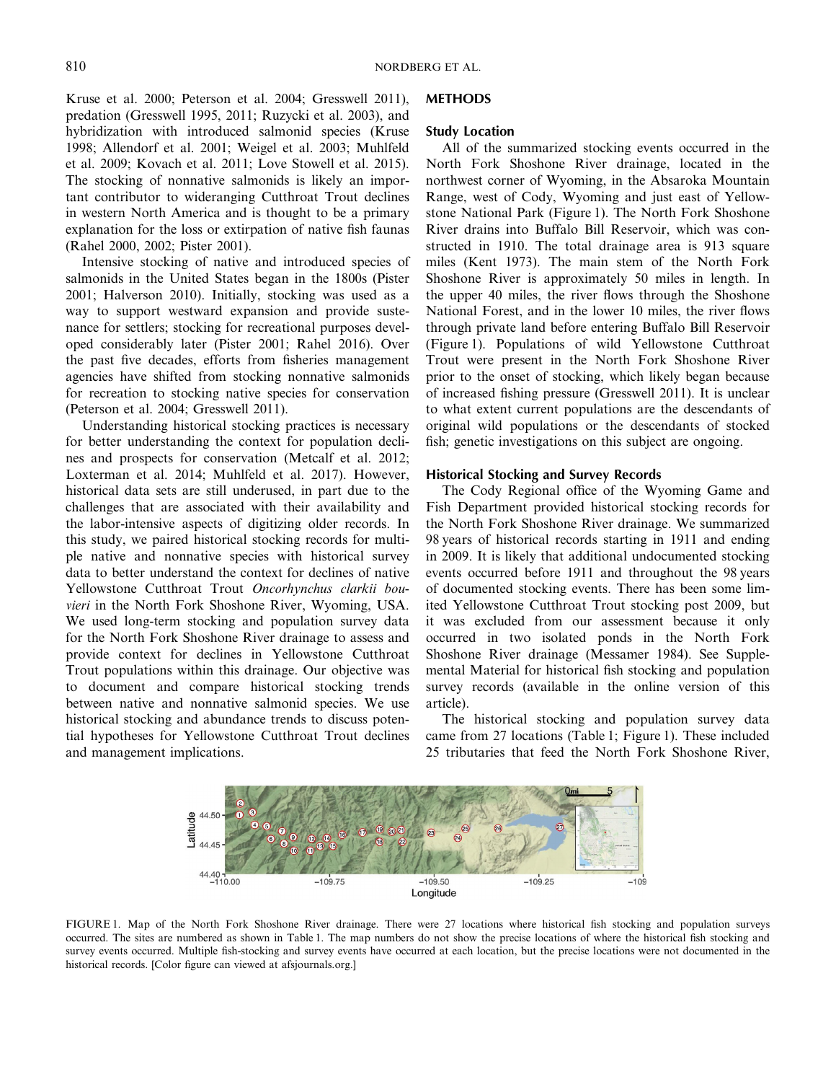Kruse et al. 2000; Peterson et al. 2004; Gresswell 2011), predation (Gresswell 1995, 2011; Ruzycki et al. 2003), and hybridization with introduced salmonid species (Kruse 1998; Allendorf et al. 2001; Weigel et al. 2003; Muhlfeld et al. 2009; Kovach et al. 2011; Love Stowell et al. 2015). The stocking of nonnative salmonids is likely an important contributor to wideranging Cutthroat Trout declines in western North America and is thought to be a primary explanation for the loss or extirpation of native fish faunas (Rahel 2000, 2002; Pister 2001).

Intensive stocking of native and introduced species of salmonids in the United States began in the 1800s (Pister 2001; Halverson 2010). Initially, stocking was used as a way to support westward expansion and provide sustenance for settlers; stocking for recreational purposes developed considerably later (Pister 2001; Rahel 2016). Over the past five decades, efforts from fisheries management agencies have shifted from stocking nonnative salmonids for recreation to stocking native species for conservation (Peterson et al. 2004; Gresswell 2011).

Understanding historical stocking practices is necessary for better understanding the context for population declines and prospects for conservation (Metcalf et al. 2012; Loxterman et al. 2014; Muhlfeld et al. 2017). However, historical data sets are still underused, in part due to the challenges that are associated with their availability and the labor-intensive aspects of digitizing older records. In this study, we paired historical stocking records for multiple native and nonnative species with historical survey data to better understand the context for declines of native Yellowstone Cutthroat Trout *Oncorhynchus clarkii bouvieri* in the North Fork Shoshone River, Wyoming, USA. We used long-term stocking and population survey data for the North Fork Shoshone River drainage to assess and provide context for declines in Yellowstone Cutthroat Trout populations within this drainage. Our objective was to document and compare historical stocking trends between native and nonnative salmonid species. We use historical stocking and abundance trends to discuss potential hypotheses for Yellowstone Cutthroat Trout declines and management implications.

# **METHODS**

#### **Study Location**

All of the summarized stocking events occurred in the North Fork Shoshone River drainage, located in the northwest corner of Wyoming, in the Absaroka Mountain Range, west of Cody, Wyoming and just east of Yellowstone National Park (Figure 1). The North Fork Shoshone River drains into Buffalo Bill Reservoir, which was constructed in 1910. The total drainage area is 913 square miles (Kent 1973). The main stem of the North Fork Shoshone River is approximately 50 miles in length. In the upper 40 miles, the river flows through the Shoshone National Forest, and in the lower 10 miles, the river flows through private land before entering Buffalo Bill Reservoir (Figure 1). Populations of wild Yellowstone Cutthroat Trout were present in the North Fork Shoshone River prior to the onset of stocking, which likely began because of increased fishing pressure (Gresswell 2011). It is unclear to what extent current populations are the descendants of original wild populations or the descendants of stocked fish; genetic investigations on this subject are ongoing.

## **Historical Stocking and Survey Records**

The Cody Regional office of the Wyoming Game and Fish Department provided historical stocking records for the North Fork Shoshone River drainage. We summarized 98 years of historical records starting in 1911 and ending in 2009. It is likely that additional undocumented stocking events occurred before 1911 and throughout the 98 years of documented stocking events. There has been some limited Yellowstone Cutthroat Trout stocking post 2009, but it was excluded from our assessment because it only occurred in two isolated ponds in the North Fork Shoshone River drainage (Messamer 1984). See Supplemental Material for historical fish stocking and population survey records (available in the online version of this article).

The historical stocking and population survey data came from 27 locations (Table 1; Figure 1). These included 25 tributaries that feed the North Fork Shoshone River,



FIGURE 1. Map of the North Fork Shoshone River drainage. There were 27 locations where historical fish stocking and population surveys occurred. The sites are numbered as shown in Table 1. The map numbers do not show the precise locations of where the historical fish stocking and survey events occurred. Multiple fish-stocking and survey events have occurred at each location, but the precise locations were not documented in the historical records. [Color figure can viewed at afsjournals.org.]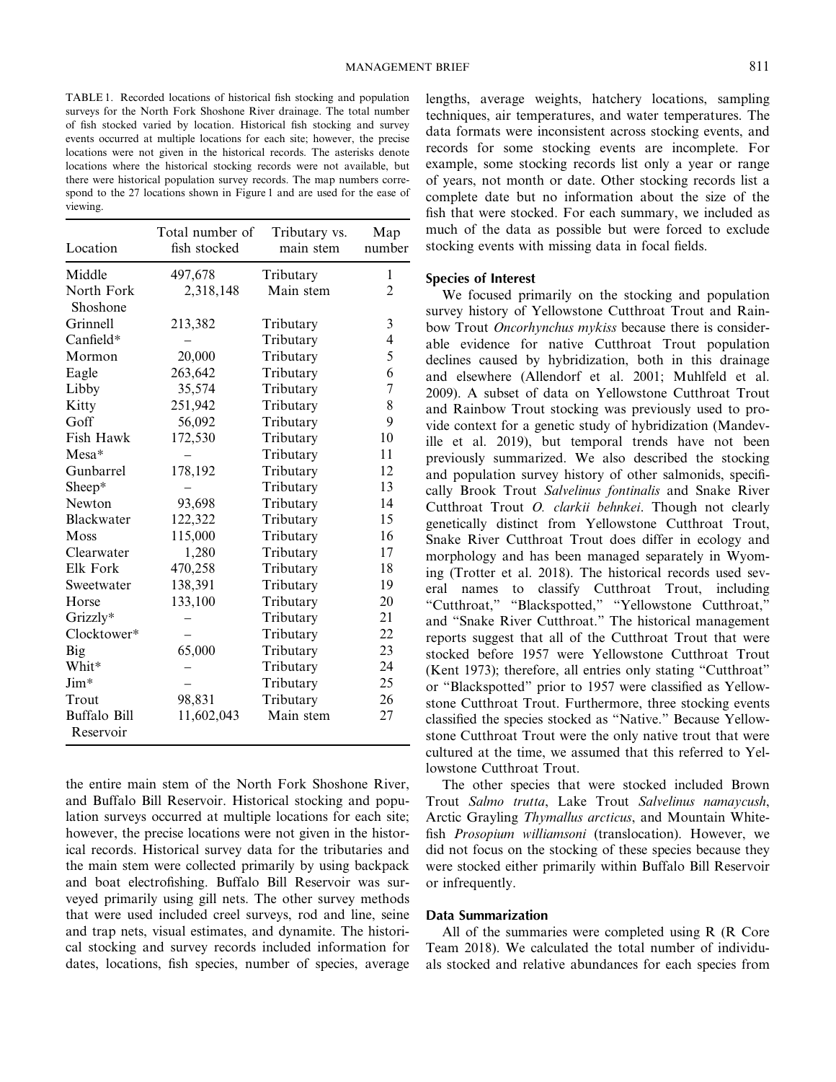TABLE 1. Recorded locations of historical fish stocking and population surveys for the North Fork Shoshone River drainage. The total number of fish stocked varied by location. Historical fish stocking and survey events occurred at multiple locations for each site; however, the precise locations were not given in the historical records. The asterisks denote locations where the historical stocking records were not available, but there were historical population survey records. The map numbers correspond to the 27 locations shown in Figure 1 and are used for the ease of viewing.

| Location                  | Total number of<br>fish stocked | Tributary vs.<br>main stem | Map<br>number  |
|---------------------------|---------------------------------|----------------------------|----------------|
| Middle                    | 497,678                         | Tributary                  | 1              |
| North Fork<br>Shoshone    | 2,318,148                       | Main stem                  | $\overline{2}$ |
| Grinnell                  | 213,382                         | Tributary                  | 3              |
| Canfield*                 |                                 | Tributary                  | 4              |
| Mormon                    | 20,000                          | Tributary                  | 5              |
| Eagle                     | 263,642                         | Tributary                  | 6              |
| Libby                     | 35,574                          | Tributary                  | $\overline{7}$ |
| Kitty                     | 251,942                         | Tributary                  | 8              |
| Goff                      | 56,092                          | Tributary                  | 9              |
| Fish Hawk                 | 172,530                         | Tributary                  | 10             |
| $Mesa*$                   |                                 | Tributary                  | 11             |
| Gunbarrel                 | 178,192                         | Tributary                  | 12             |
| Sheep*                    |                                 | Tributary                  | 13             |
| Newton                    | 93,698                          | Tributary                  | 14             |
| Blackwater                | 122,322                         | Tributary                  | 15             |
| Moss                      | 115,000                         | Tributary                  | 16             |
| Clearwater                | 1,280                           | Tributary                  | 17             |
| Elk Fork                  | 470,258                         | Tributary                  | 18             |
| Sweetwater                | 138,391                         | Tributary                  | 19             |
| Horse                     | 133,100                         | Tributary                  | 20             |
| Grizzly*                  |                                 | Tributary                  | 21             |
| Clocktower*               |                                 | Tributary                  | 22             |
| Big                       | 65,000                          | Tributary                  | 23             |
| Whit*                     |                                 | Tributary                  | 24             |
| Jim*                      |                                 | Tributary                  | 25             |
| Trout                     | 98,831                          | Tributary                  | 26             |
| Buffalo Bill<br>Reservoir | 11,602,043                      | Main stem                  | 27             |

the entire main stem of the North Fork Shoshone River, and Buffalo Bill Reservoir. Historical stocking and population surveys occurred at multiple locations for each site; however, the precise locations were not given in the historical records. Historical survey data for the tributaries and the main stem were collected primarily by using backpack and boat electrofishing. Buffalo Bill Reservoir was surveyed primarily using gill nets. The other survey methods that were used included creel surveys, rod and line, seine and trap nets, visual estimates, and dynamite. The historical stocking and survey records included information for dates, locations, fish species, number of species, average lengths, average weights, hatchery locations, sampling techniques, air temperatures, and water temperatures. The data formats were inconsistent across stocking events, and records for some stocking events are incomplete. For example, some stocking records list only a year or range of years, not month or date. Other stocking records list a complete date but no information about the size of the fish that were stocked. For each summary, we included as much of the data as possible but were forced to exclude stocking events with missing data in focal fields.

## **Species of Interest**

We focused primarily on the stocking and population survey history of Yellowstone Cutthroat Trout and Rainbow Trout *Oncorhynchus mykiss* because there is considerable evidence for native Cutthroat Trout population declines caused by hybridization, both in this drainage and elsewhere (Allendorf et al. 2001; Muhlfeld et al. 2009). A subset of data on Yellowstone Cutthroat Trout and Rainbow Trout stocking was previously used to provide context for a genetic study of hybridization (Mandeville et al. 2019), but temporal trends have not been previously summarized. We also described the stocking and population survey history of other salmonids, specifically Brook Trout *Salvelinus fontinalis* and Snake River Cutthroat Trout *O. clarkii behnkei*. Though not clearly genetically distinct from Yellowstone Cutthroat Trout, Snake River Cutthroat Trout does differ in ecology and morphology and has been managed separately in Wyoming (Trotter et al. 2018). The historical records used several names to classify Cutthroat Trout, including "Cutthroat," "Blackspotted," "Yellowstone Cutthroat," and "Snake River Cutthroat." The historical management reports suggest that all of the Cutthroat Trout that were stocked before 1957 were Yellowstone Cutthroat Trout (Kent 1973); therefore, all entries only stating "Cutthroat" or "Blackspotted" prior to 1957 were classified as Yellowstone Cutthroat Trout. Furthermore, three stocking events classified the species stocked as "Native." Because Yellowstone Cutthroat Trout were the only native trout that were cultured at the time, we assumed that this referred to Yellowstone Cutthroat Trout.

The other species that were stocked included Brown Trout *Salmo trutta*, Lake Trout *Salvelinus namaycush*, Arctic Grayling *Thymallus arcticus*, and Mountain Whitefish *Prosopium williamsoni* (translocation). However, we did not focus on the stocking of these species because they were stocked either primarily within Buffalo Bill Reservoir or infrequently.

## **Data Summarization**

All of the summaries were completed using R (R Core Team 2018). We calculated the total number of individuals stocked and relative abundances for each species from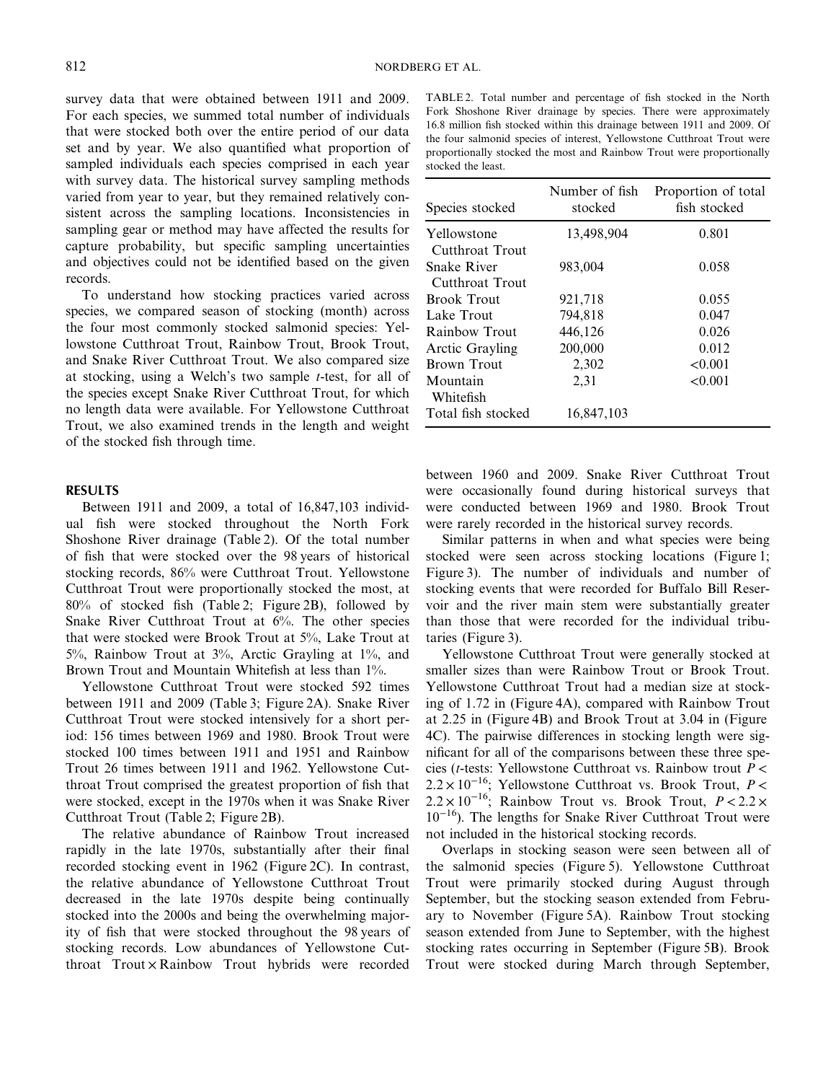survey data that were obtained between 1911 and 2009. For each species, we summed total number of individuals that were stocked both over the entire period of our data set and by year. We also quantified what proportion of sampled individuals each species comprised in each year with survey data. The historical survey sampling methods varied from year to year, but they remained relatively consistent across the sampling locations. Inconsistencies in sampling gear or method may have affected the results for capture probability, but specific sampling uncertainties and objectives could not be identified based on the given records.

To understand how stocking practices varied across species, we compared season of stocking (month) across the four most commonly stocked salmonid species: Yellowstone Cutthroat Trout, Rainbow Trout, Brook Trout, and Snake River Cutthroat Trout. We also compared size at stocking, using a Welch's two sample *t*-test, for all of the species except Snake River Cutthroat Trout, for which no length data were available. For Yellowstone Cutthroat Trout, we also examined trends in the length and weight of the stocked fish through time.

#### **RESULTS**

Between 1911 and 2009, a total of 16,847,103 individual fish were stocked throughout the North Fork Shoshone River drainage (Table 2). Of the total number of fish that were stocked over the 98 years of historical stocking records, 86% were Cutthroat Trout. Yellowstone Cutthroat Trout were proportionally stocked the most, at 80% of stocked fish (Table 2; Figure 2B), followed by Snake River Cutthroat Trout at 6%. The other species that were stocked were Brook Trout at 5%, Lake Trout at 5%, Rainbow Trout at 3%, Arctic Grayling at 1%, and Brown Trout and Mountain Whitefish at less than 1%.

Yellowstone Cutthroat Trout were stocked 592 times between 1911 and 2009 (Table 3; Figure 2A). Snake River Cutthroat Trout were stocked intensively for a short period: 156 times between 1969 and 1980. Brook Trout were stocked 100 times between 1911 and 1951 and Rainbow Trout 26 times between 1911 and 1962. Yellowstone Cutthroat Trout comprised the greatest proportion of fish that were stocked, except in the 1970s when it was Snake River Cutthroat Trout (Table 2; Figure 2B).

The relative abundance of Rainbow Trout increased rapidly in the late 1970s, substantially after their final recorded stocking event in 1962 (Figure 2C). In contrast, the relative abundance of Yellowstone Cutthroat Trout decreased in the late 1970s despite being continually stocked into the 2000s and being the overwhelming majority of fish that were stocked throughout the 98 years of stocking records. Low abundances of Yellowstone Cutthroat  $Trout \times Rainbow$   $Trout$  hybrids were recorded

TABLE 2. Total number and percentage of fish stocked in the North Fork Shoshone River drainage by species. There were approximately 16.8 million fish stocked within this drainage between 1911 and 2009. Of the four salmonid species of interest, Yellowstone Cutthroat Trout were proportionally stocked the most and Rainbow Trout were proportionally stocked the least.

| Species stocked                       | Number of fish<br>stocked | Proportion of total<br>fish stocked |
|---------------------------------------|---------------------------|-------------------------------------|
| Yellowstone<br>Cutthroat Trout        | 13,498,904                | 0.801                               |
| <b>Snake River</b><br>Cutthroat Trout | 983,004                   | 0.058                               |
| <b>Brook Trout</b>                    | 921,718                   | 0.055                               |
| Lake Trout                            | 794,818                   | 0.047                               |
| Rainbow Trout                         | 446,126                   | 0.026                               |
| Arctic Grayling                       | 200,000                   | 0.012                               |
| <b>Brown Trout</b>                    | 2,302                     | < 0.001                             |
| Mountain<br>Whitefish                 | 2,31                      | < 0.001                             |
| Total fish stocked                    | 16,847,103                |                                     |

between 1960 and 2009. Snake River Cutthroat Trout were occasionally found during historical surveys that were conducted between 1969 and 1980. Brook Trout were rarely recorded in the historical survey records.

Similar patterns in when and what species were being stocked were seen across stocking locations (Figure 1; Figure 3). The number of individuals and number of stocking events that were recorded for Buffalo Bill Reservoir and the river main stem were substantially greater than those that were recorded for the individual tributaries (Figure 3).

Yellowstone Cutthroat Trout were generally stocked at smaller sizes than were Rainbow Trout or Brook Trout. Yellowstone Cutthroat Trout had a median size at stocking of 1.72 in (Figure 4A), compared with Rainbow Trout at 2.25 in (Figure 4B) and Brook Trout at 3.04 in (Figure 4C). The pairwise differences in stocking length were significant for all of the comparisons between these three species (*t*-tests: Yellowstone Cutthroat vs. Rainbow trout *P* < 2.2 × 10<sup>−</sup>16; Yellowstone Cutthroat vs. Brook Trout, *P* < 2.2 × 10<sup>−</sup>16; Rainbow Trout vs. Brook Trout, *P* < 2.2 × 10<sup>−</sup>16). The lengths for Snake River Cutthroat Trout were not included in the historical stocking records.

Overlaps in stocking season were seen between all of the salmonid species (Figure 5). Yellowstone Cutthroat Trout were primarily stocked during August through September, but the stocking season extended from February to November (Figure 5A). Rainbow Trout stocking season extended from June to September, with the highest stocking rates occurring in September (Figure 5B). Brook Trout were stocked during March through September,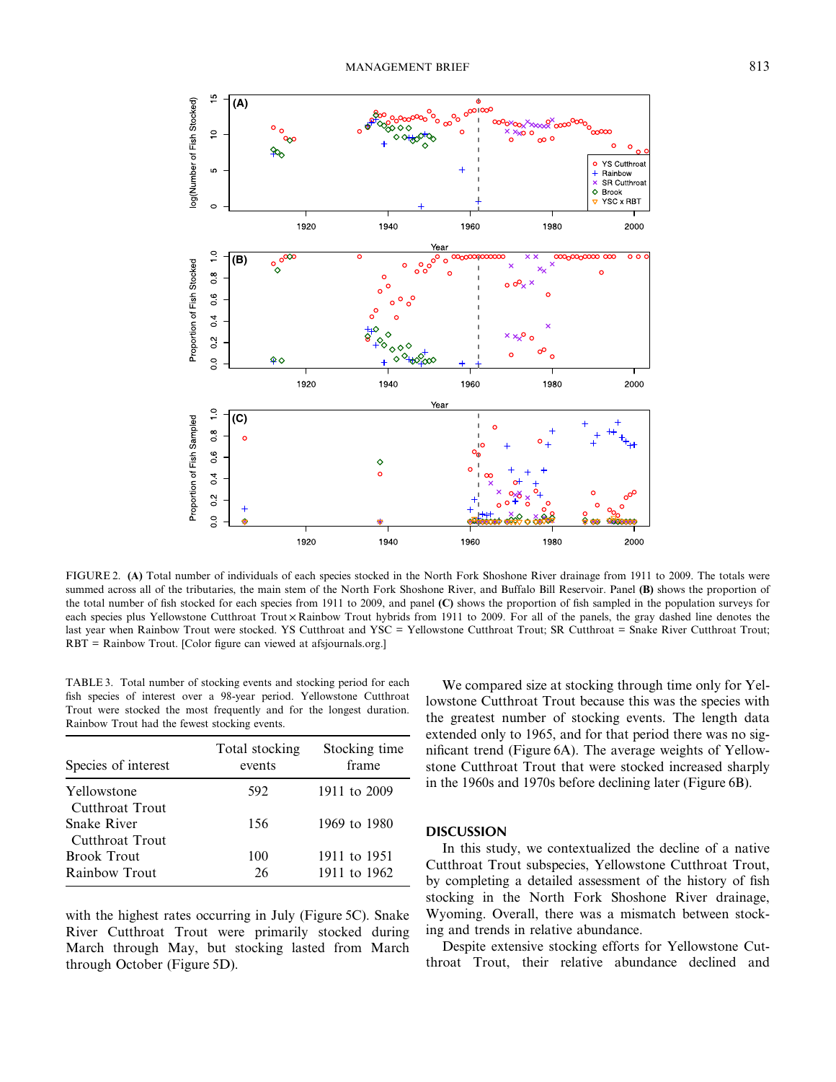

FIGURE 2. **(A)** Total number of individuals of each species stocked in the North Fork Shoshone River drainage from 1911 to 2009. The totals were summed across all of the tributaries, the main stem of the North Fork Shoshone River, and Buffalo Bill Reservoir. Panel **(B)** shows the proportion of the total number of fish stocked for each species from 1911 to 2009, and panel **(C)** shows the proportion of fish sampled in the population surveys for each species plus Yellowstone Cutthroat Trout × Rainbow Trout hybrids from 1911 to 2009. For all of the panels, the gray dashed line denotes the last year when Rainbow Trout were stocked. YS Cutthroat and YSC = Yellowstone Cutthroat Trout; SR Cutthroat = Snake River Cutthroat Trout; RBT = Rainbow Trout. [Color figure can viewed at afsjournals.org.]

TABLE 3. Total number of stocking events and stocking period for each fish species of interest over a 98-year period. Yellowstone Cutthroat Trout were stocked the most frequently and for the longest duration. Rainbow Trout had the fewest stocking events.

| Species of interest            | Total stocking<br>events | Stocking time<br>frame |
|--------------------------------|--------------------------|------------------------|
| Yellowstone<br>Cutthroat Trout | 592                      | 1911 to 2009           |
| Snake River<br>Cutthroat Trout | 156                      | 1969 to 1980           |
| <b>Brook Trout</b>             | 100                      | 1911 to 1951           |
| Rainbow Trout                  | 26                       | 1911 to 1962           |

with the highest rates occurring in July (Figure 5C). Snake River Cutthroat Trout were primarily stocked during March through May, but stocking lasted from March through October (Figure 5D).

We compared size at stocking through time only for Yellowstone Cutthroat Trout because this was the species with the greatest number of stocking events. The length data extended only to 1965, and for that period there was no significant trend (Figure 6A). The average weights of Yellowstone Cutthroat Trout that were stocked increased sharply in the 1960s and 1970s before declining later (Figure 6B).

## **DISCUSSION**

In this study, we contextualized the decline of a native Cutthroat Trout subspecies, Yellowstone Cutthroat Trout, by completing a detailed assessment of the history of fish stocking in the North Fork Shoshone River drainage, Wyoming. Overall, there was a mismatch between stocking and trends in relative abundance.

Despite extensive stocking efforts for Yellowstone Cutthroat Trout, their relative abundance declined and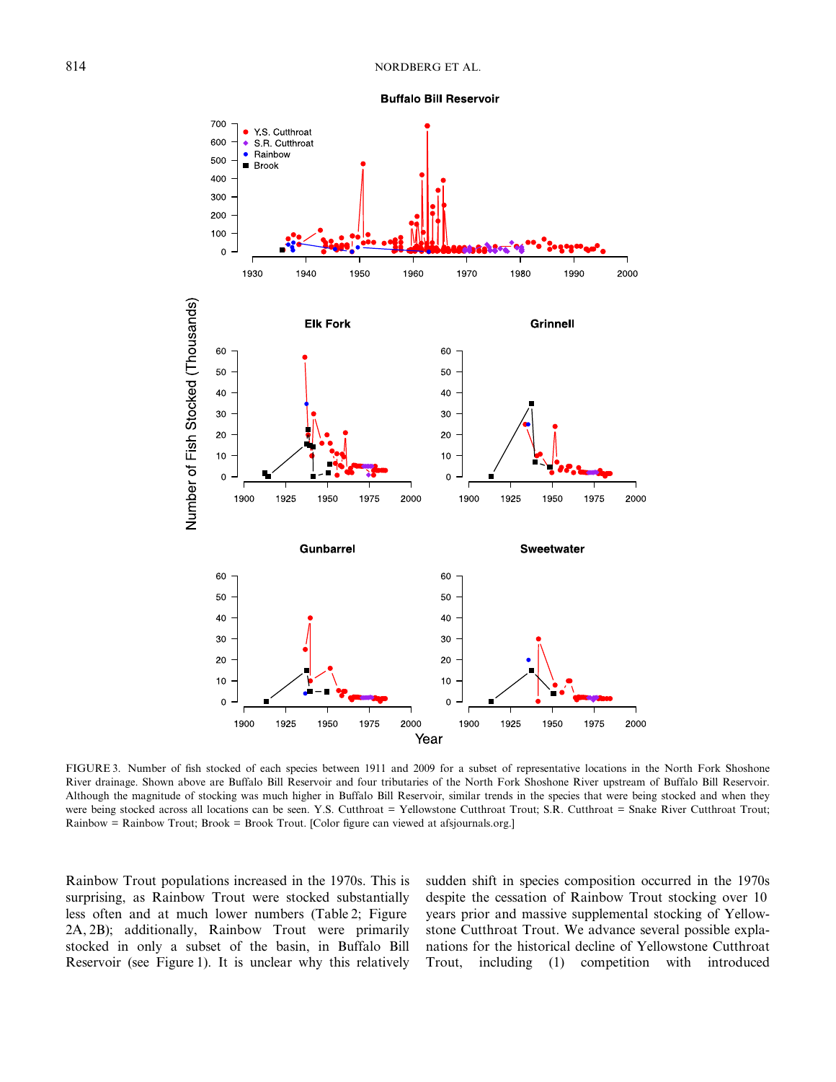



FIGURE 3. Number of fish stocked of each species between 1911 and 2009 for a subset of representative locations in the North Fork Shoshone River drainage. Shown above are Buffalo Bill Reservoir and four tributaries of the North Fork Shoshone River upstream of Buffalo Bill Reservoir. Although the magnitude of stocking was much higher in Buffalo Bill Reservoir, similar trends in the species that were being stocked and when they were being stocked across all locations can be seen. Y.S. Cutthroat = Yellowstone Cutthroat Trout; S.R. Cutthroat = Snake River Cutthroat Trout; Rainbow = Rainbow Trout; Brook = Brook Trout. [Color figure can viewed at afsjournals.org.]

Rainbow Trout populations increased in the 1970s. This is surprising, as Rainbow Trout were stocked substantially less often and at much lower numbers (Table 2; Figure 2A, 2B); additionally, Rainbow Trout were primarily stocked in only a subset of the basin, in Buffalo Bill Reservoir (see Figure 1). It is unclear why this relatively sudden shift in species composition occurred in the 1970s despite the cessation of Rainbow Trout stocking over 10 years prior and massive supplemental stocking of Yellowstone Cutthroat Trout. We advance several possible explanations for the historical decline of Yellowstone Cutthroat Trout, including (1) competition with introduced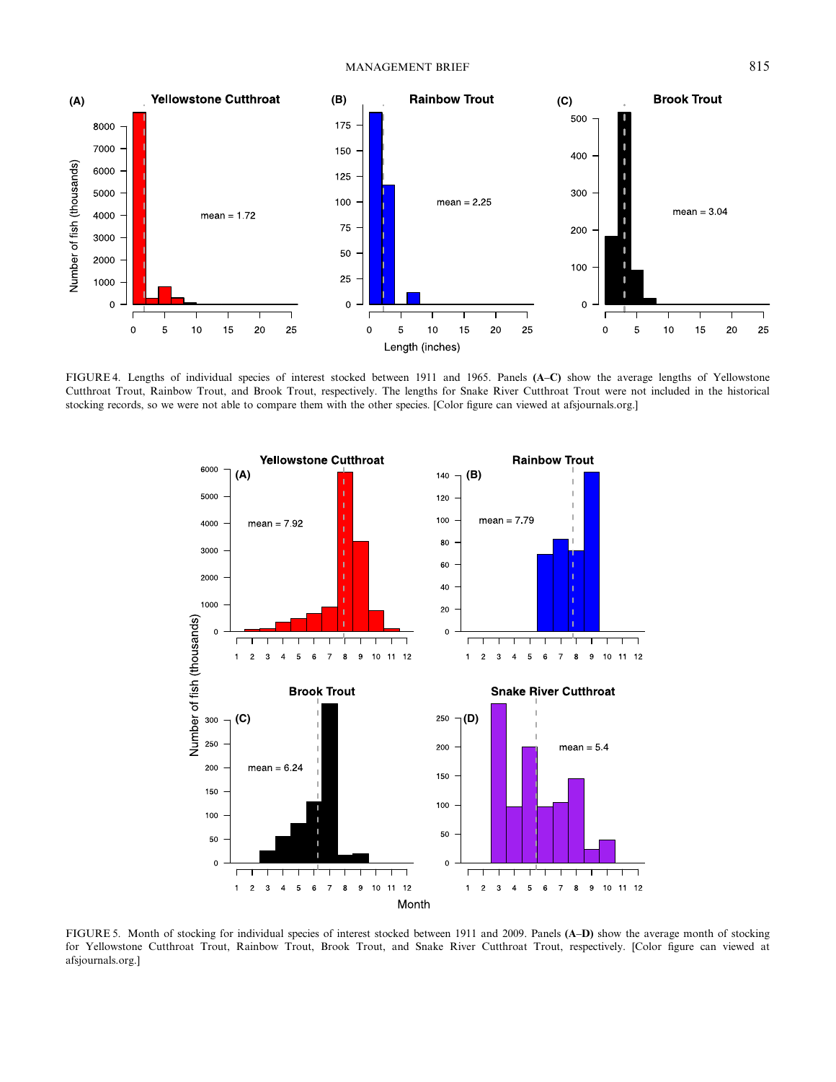

FIGURE 4. Lengths of individual species of interest stocked between 1911 and 1965. Panels **(A**–**C)** show the average lengths of Yellowstone Cutthroat Trout, Rainbow Trout, and Brook Trout, respectively. The lengths for Snake River Cutthroat Trout were not included in the historical stocking records, so we were not able to compare them with the other species. [Color figure can viewed at afsjournals.org.]



FIGURE 5. Month of stocking for individual species of interest stocked between 1911 and 2009. Panels **(A**–**D)** show the average month of stocking for Yellowstone Cutthroat Trout, Rainbow Trout, Brook Trout, and Snake River Cutthroat Trout, respectively. [Color figure can viewed at afsjournals.org.]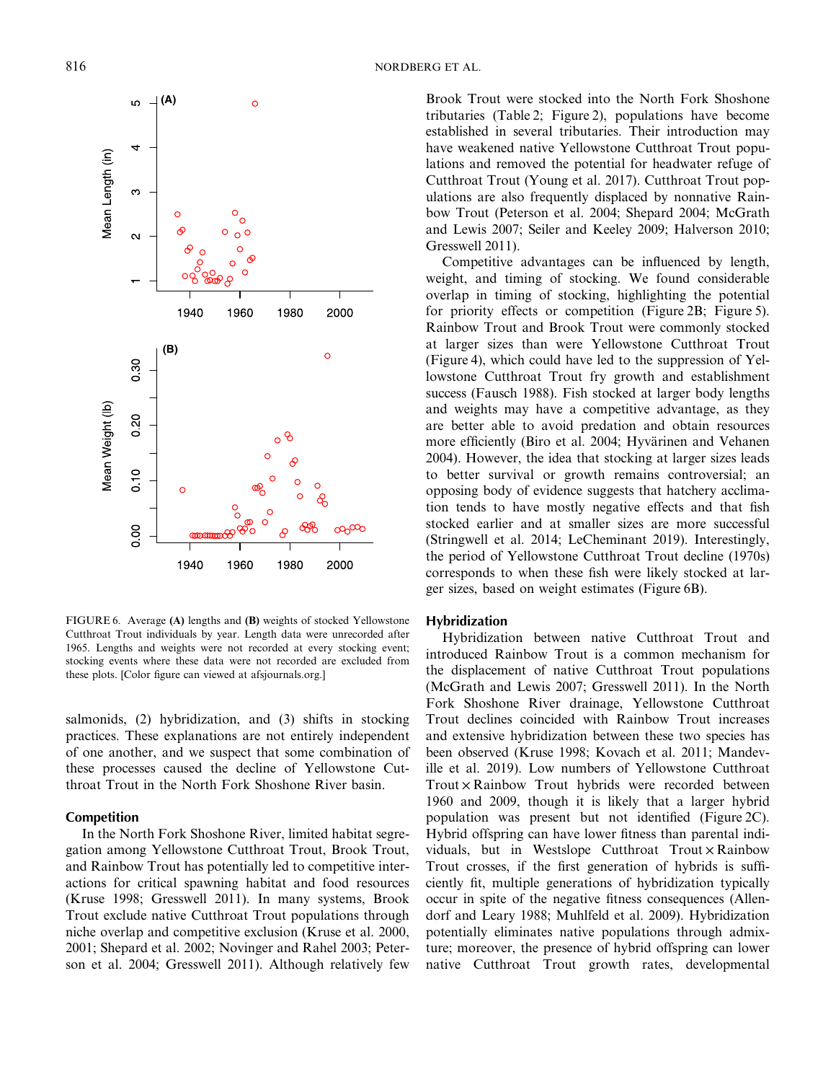

FIGURE 6. Average **(A)** lengths and **(B)** weights of stocked Yellowstone Cutthroat Trout individuals by year. Length data were unrecorded after 1965. Lengths and weights were not recorded at every stocking event; stocking events where these data were not recorded are excluded from these plots. [Color figure can viewed at afsjournals.org.]

salmonids, (2) hybridization, and (3) shifts in stocking practices. These explanations are not entirely independent of one another, and we suspect that some combination of these processes caused the decline of Yellowstone Cutthroat Trout in the North Fork Shoshone River basin.

## **Competition**

In the North Fork Shoshone River, limited habitat segregation among Yellowstone Cutthroat Trout, Brook Trout, and Rainbow Trout has potentially led to competitive interactions for critical spawning habitat and food resources (Kruse 1998; Gresswell 2011). In many systems, Brook Trout exclude native Cutthroat Trout populations through niche overlap and competitive exclusion (Kruse et al. 2000, 2001; Shepard et al. 2002; Novinger and Rahel 2003; Peterson et al. 2004; Gresswell 2011). Although relatively few Brook Trout were stocked into the North Fork Shoshone tributaries (Table 2; Figure 2), populations have become established in several tributaries. Their introduction may have weakened native Yellowstone Cutthroat Trout populations and removed the potential for headwater refuge of Cutthroat Trout (Young et al. 2017). Cutthroat Trout populations are also frequently displaced by nonnative Rainbow Trout (Peterson et al. 2004; Shepard 2004; McGrath and Lewis 2007; Seiler and Keeley 2009; Halverson 2010; Gresswell 2011).

Competitive advantages can be influenced by length, weight, and timing of stocking. We found considerable overlap in timing of stocking, highlighting the potential for priority effects or competition (Figure 2B; Figure 5). Rainbow Trout and Brook Trout were commonly stocked at larger sizes than were Yellowstone Cutthroat Trout (Figure 4), which could have led to the suppression of Yellowstone Cutthroat Trout fry growth and establishment success (Fausch 1988). Fish stocked at larger body lengths and weights may have a competitive advantage, as they are better able to avoid predation and obtain resources more efficiently (Biro et al. 2004; Hyvärinen and Vehanen 2004). However, the idea that stocking at larger sizes leads to better survival or growth remains controversial; an opposing body of evidence suggests that hatchery acclimation tends to have mostly negative effects and that fish stocked earlier and at smaller sizes are more successful (Stringwell et al. 2014; LeCheminant 2019). Interestingly, the period of Yellowstone Cutthroat Trout decline (1970s) corresponds to when these fish were likely stocked at larger sizes, based on weight estimates (Figure 6B).

## **Hybridization**

Hybridization between native Cutthroat Trout and introduced Rainbow Trout is a common mechanism for the displacement of native Cutthroat Trout populations (McGrath and Lewis 2007; Gresswell 2011). In the North Fork Shoshone River drainage, Yellowstone Cutthroat Trout declines coincided with Rainbow Trout increases and extensive hybridization between these two species has been observed (Kruse 1998; Kovach et al. 2011; Mandeville et al. 2019). Low numbers of Yellowstone Cutthroat Trout × Rainbow Trout hybrids were recorded between 1960 and 2009, though it is likely that a larger hybrid population was present but not identified (Figure 2C). Hybrid offspring can have lower fitness than parental individuals, but in Westslope Cutthroat  $Trout \times Rainbow$ Trout crosses, if the first generation of hybrids is sufficiently fit, multiple generations of hybridization typically occur in spite of the negative fitness consequences (Allendorf and Leary 1988; Muhlfeld et al. 2009). Hybridization potentially eliminates native populations through admixture; moreover, the presence of hybrid offspring can lower native Cutthroat Trout growth rates, developmental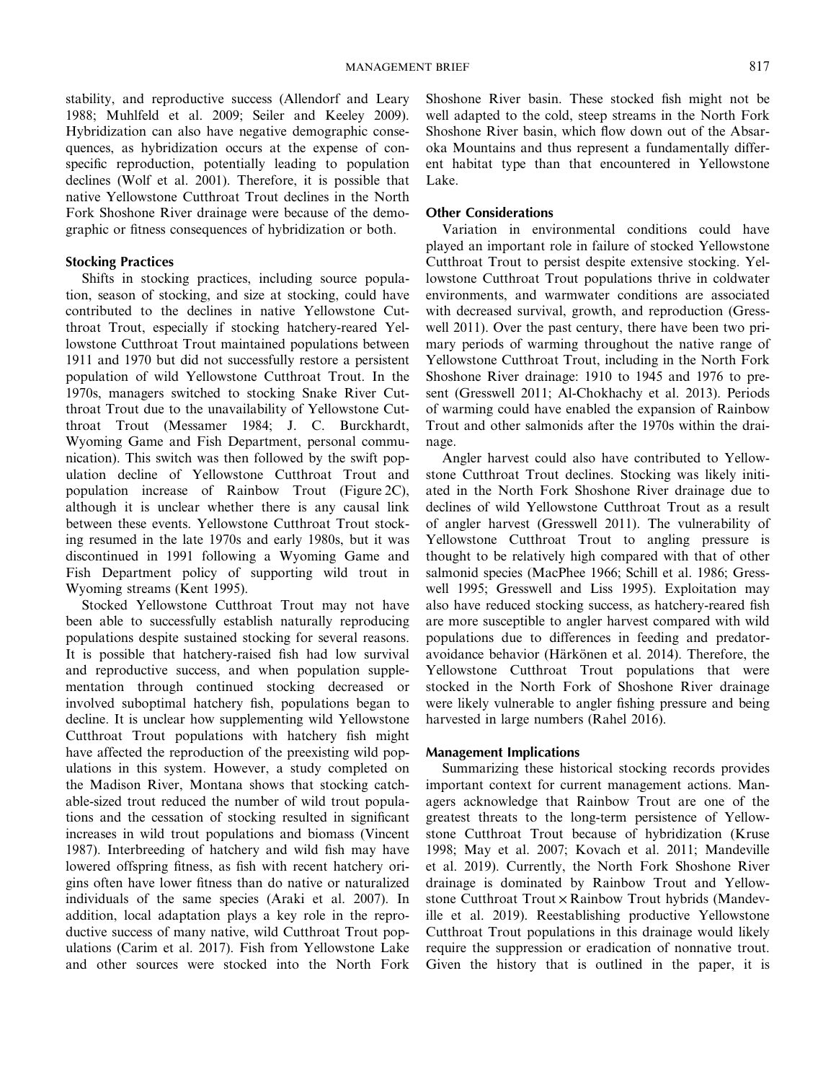stability, and reproductive success (Allendorf and Leary 1988; Muhlfeld et al. 2009; Seiler and Keeley 2009). Hybridization can also have negative demographic consequences, as hybridization occurs at the expense of conspecific reproduction, potentially leading to population declines (Wolf et al. 2001). Therefore, it is possible that native Yellowstone Cutthroat Trout declines in the North Fork Shoshone River drainage were because of the demographic or fitness consequences of hybridization or both.

# **Stocking Practices**

Shifts in stocking practices, including source population, season of stocking, and size at stocking, could have contributed to the declines in native Yellowstone Cutthroat Trout, especially if stocking hatchery-reared Yellowstone Cutthroat Trout maintained populations between 1911 and 1970 but did not successfully restore a persistent population of wild Yellowstone Cutthroat Trout. In the 1970s, managers switched to stocking Snake River Cutthroat Trout due to the unavailability of Yellowstone Cutthroat Trout (Messamer 1984; J. C. Burckhardt, Wyoming Game and Fish Department, personal communication). This switch was then followed by the swift population decline of Yellowstone Cutthroat Trout and population increase of Rainbow Trout (Figure 2C), although it is unclear whether there is any causal link between these events. Yellowstone Cutthroat Trout stocking resumed in the late 1970s and early 1980s, but it was discontinued in 1991 following a Wyoming Game and Fish Department policy of supporting wild trout in Wyoming streams (Kent 1995).

Stocked Yellowstone Cutthroat Trout may not have been able to successfully establish naturally reproducing populations despite sustained stocking for several reasons. It is possible that hatchery-raised fish had low survival and reproductive success, and when population supplementation through continued stocking decreased or involved suboptimal hatchery fish, populations began to decline. It is unclear how supplementing wild Yellowstone Cutthroat Trout populations with hatchery fish might have affected the reproduction of the preexisting wild populations in this system. However, a study completed on the Madison River, Montana shows that stocking catchable-sized trout reduced the number of wild trout populations and the cessation of stocking resulted in significant increases in wild trout populations and biomass (Vincent 1987). Interbreeding of hatchery and wild fish may have lowered offspring fitness, as fish with recent hatchery origins often have lower fitness than do native or naturalized individuals of the same species (Araki et al. 2007). In addition, local adaptation plays a key role in the reproductive success of many native, wild Cutthroat Trout populations (Carim et al. 2017). Fish from Yellowstone Lake and other sources were stocked into the North Fork Shoshone River basin. These stocked fish might not be well adapted to the cold, steep streams in the North Fork Shoshone River basin, which flow down out of the Absaroka Mountains and thus represent a fundamentally different habitat type than that encountered in Yellowstone Lake.

# **Other Considerations**

Variation in environmental conditions could have played an important role in failure of stocked Yellowstone Cutthroat Trout to persist despite extensive stocking. Yellowstone Cutthroat Trout populations thrive in coldwater environments, and warmwater conditions are associated with decreased survival, growth, and reproduction (Gresswell 2011). Over the past century, there have been two primary periods of warming throughout the native range of Yellowstone Cutthroat Trout, including in the North Fork Shoshone River drainage: 1910 to 1945 and 1976 to present (Gresswell 2011; Al-Chokhachy et al. 2013). Periods of warming could have enabled the expansion of Rainbow Trout and other salmonids after the 1970s within the drainage.

Angler harvest could also have contributed to Yellowstone Cutthroat Trout declines. Stocking was likely initiated in the North Fork Shoshone River drainage due to declines of wild Yellowstone Cutthroat Trout as a result of angler harvest (Gresswell 2011). The vulnerability of Yellowstone Cutthroat Trout to angling pressure is thought to be relatively high compared with that of other salmonid species (MacPhee 1966; Schill et al. 1986; Gresswell 1995; Gresswell and Liss 1995). Exploitation may also have reduced stocking success, as hatchery-reared fish are more susceptible to angler harvest compared with wild populations due to differences in feeding and predatoravoidance behavior (Härkönen et al. 2014). Therefore, the Yellowstone Cutthroat Trout populations that were stocked in the North Fork of Shoshone River drainage were likely vulnerable to angler fishing pressure and being harvested in large numbers (Rahel 2016).

# **Management Implications**

Summarizing these historical stocking records provides important context for current management actions. Managers acknowledge that Rainbow Trout are one of the greatest threats to the long-term persistence of Yellowstone Cutthroat Trout because of hybridization (Kruse 1998; May et al. 2007; Kovach et al. 2011; Mandeville et al. 2019). Currently, the North Fork Shoshone River drainage is dominated by Rainbow Trout and Yellowstone Cutthroat Trout × Rainbow Trout hybrids (Mandeville et al. 2019). Reestablishing productive Yellowstone Cutthroat Trout populations in this drainage would likely require the suppression or eradication of nonnative trout. Given the history that is outlined in the paper, it is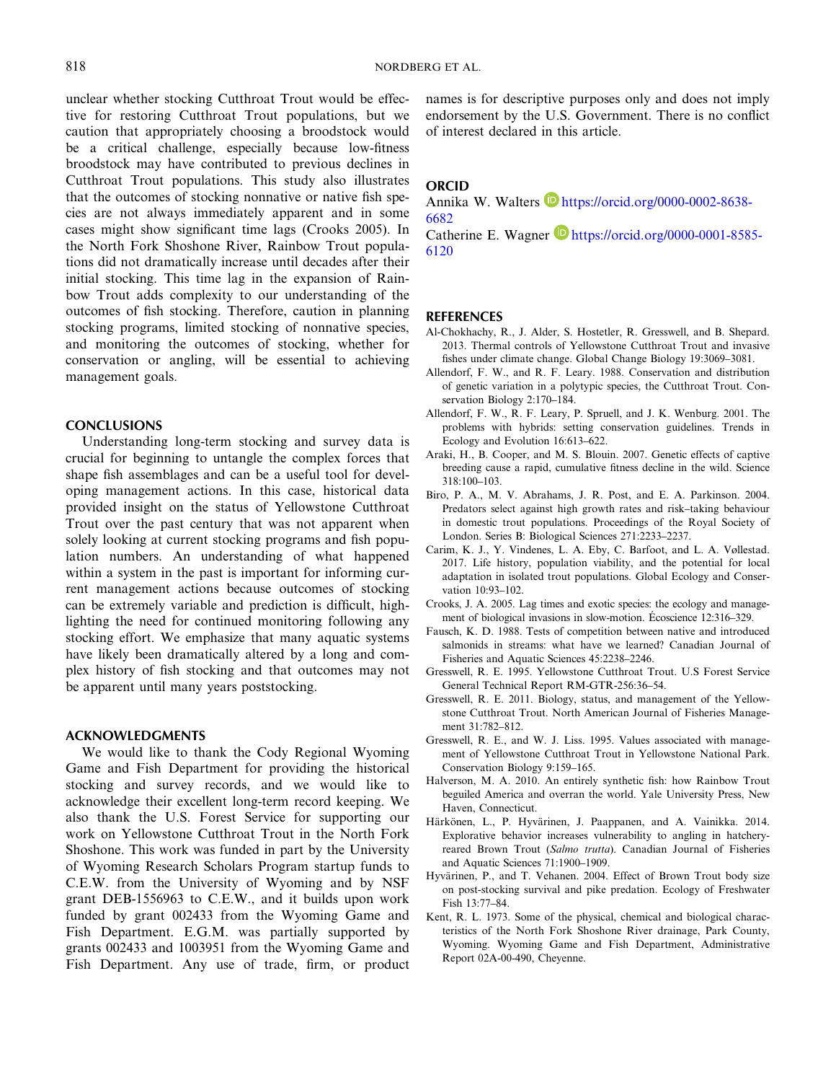unclear whether stocking Cutthroat Trout would be effective for restoring Cutthroat Trout populations, but we caution that appropriately choosing a broodstock would be a critical challenge, especially because low-fitness broodstock may have contributed to previous declines in Cutthroat Trout populations. This study also illustrates that the outcomes of stocking nonnative or native fish species are not always immediately apparent and in some cases might show significant time lags (Crooks 2005). In the North Fork Shoshone River, Rainbow Trout populations did not dramatically increase until decades after their initial stocking. This time lag in the expansion of Rainbow Trout adds complexity to our understanding of the outcomes of fish stocking. Therefore, caution in planning stocking programs, limited stocking of nonnative species, and monitoring the outcomes of stocking, whether for conservation or angling, will be essential to achieving management goals.

## **CONCLUSIONS**

Understanding long-term stocking and survey data is crucial for beginning to untangle the complex forces that shape fish assemblages and can be a useful tool for developing management actions. In this case, historical data provided insight on the status of Yellowstone Cutthroat Trout over the past century that was not apparent when solely looking at current stocking programs and fish population numbers. An understanding of what happened within a system in the past is important for informing current management actions because outcomes of stocking can be extremely variable and prediction is difficult, highlighting the need for continued monitoring following any stocking effort. We emphasize that many aquatic systems have likely been dramatically altered by a long and complex history of fish stocking and that outcomes may not be apparent until many years poststocking.

# **ACKNOWLEDGMENTS**

We would like to thank the Cody Regional Wyoming Game and Fish Department for providing the historical stocking and survey records, and we would like to acknowledge their excellent long-term record keeping. We also thank the U.S. Forest Service for supporting our work on Yellowstone Cutthroat Trout in the North Fork Shoshone. This work was funded in part by the University of Wyoming Research Scholars Program startup funds to C.E.W. from the University of Wyoming and by NSF grant DEB-1556963 to C.E.W., and it builds upon work funded by grant 002433 from the Wyoming Game and Fish Department. E.G.M. was partially supported by grants 002433 and 1003951 from the Wyoming Game and Fish Department. Any use of trade, firm, or product names is for descriptive purposes only and does not imply endorsement by the U.S. Government. There is no conflict of interest declared in this article.

# **ORCID**

Annika W. Walters https://orcid.org/0000-0002-8638-6682

Catherine E. Wagner  $\blacksquare$  https://orcid.org/0000-0001-8585-6120

## **REFERENCES**

- Al-Chokhachy, R., J. Alder, S. Hostetler, R. Gresswell, and B. Shepard. 2013. Thermal controls of Yellowstone Cutthroat Trout and invasive fishes under climate change. Global Change Biology 19:3069–3081.
- Allendorf, F. W., and R. F. Leary. 1988. Conservation and distribution of genetic variation in a polytypic species, the Cutthroat Trout. Conservation Biology 2:170–184.
- Allendorf, F. W., R. F. Leary, P. Spruell, and J. K. Wenburg. 2001. The problems with hybrids: setting conservation guidelines. Trends in Ecology and Evolution 16:613–622.
- Araki, H., B. Cooper, and M. S. Blouin. 2007. Genetic effects of captive breeding cause a rapid, cumulative fitness decline in the wild. Science 318:100–103.
- Biro, P. A., M. V. Abrahams, J. R. Post, and E. A. Parkinson. 2004. Predators select against high growth rates and risk–taking behaviour in domestic trout populations. Proceedings of the Royal Society of London. Series B: Biological Sciences 271:2233–2237.
- Carim, K. J., Y. Vindenes, L. A. Eby, C. Barfoot, and L. A. Vøllestad. 2017. Life history, population viability, and the potential for local adaptation in isolated trout populations. Global Ecology and Conservation 10:93–102.
- Crooks, J. A. 2005. Lag times and exotic species: the ecology and management of biological invasions in slow-motion. Écoscience 12:316–329.
- Fausch, K. D. 1988. Tests of competition between native and introduced salmonids in streams: what have we learned? Canadian Journal of Fisheries and Aquatic Sciences 45:2238–2246.
- Gresswell, R. E. 1995. Yellowstone Cutthroat Trout. U.S Forest Service General Technical Report RM-GTR-256:36–54.
- Gresswell, R. E. 2011. Biology, status, and management of the Yellowstone Cutthroat Trout. North American Journal of Fisheries Management 31:782–812.
- Gresswell, R. E., and W. J. Liss. 1995. Values associated with management of Yellowstone Cutthroat Trout in Yellowstone National Park. Conservation Biology 9:159–165.
- Halverson, M. A. 2010. An entirely synthetic fish: how Rainbow Trout beguiled America and overran the world. Yale University Press, New Haven, Connecticut.
- Härkönen, L., P. Hyvärinen, J. Paappanen, and A. Vainikka. 2014. Explorative behavior increases vulnerability to angling in hatcheryreared Brown Trout (*Salmo trutta*). Canadian Journal of Fisheries and Aquatic Sciences 71:1900–1909.
- Hyvärinen, P., and T. Vehanen. 2004. Effect of Brown Trout body size on post-stocking survival and pike predation. Ecology of Freshwater Fish 13:77–84.
- Kent, R. L. 1973. Some of the physical, chemical and biological characteristics of the North Fork Shoshone River drainage, Park County, Wyoming. Wyoming Game and Fish Department, Administrative Report 02A-00-490, Cheyenne.